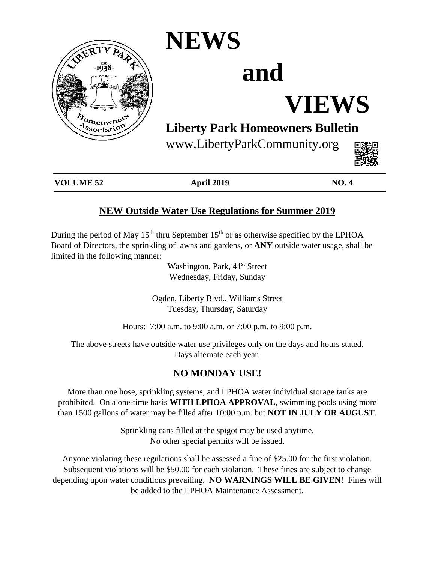

## **NEWS**

# **and**

# **VIEWS**

### **Liberty Park Homeowners Bulletin**

www.LibertyParkCommunity.org



| <b>VOLUME 52</b> | <b>April 2019</b> | <b>NO.4</b> |
|------------------|-------------------|-------------|
|                  |                   |             |

### **NEW Outside Water Use Regulations for Summer 2019**

During the period of May  $15<sup>th</sup>$  thru September  $15<sup>th</sup>$  or as otherwise specified by the LPHOA Board of Directors, the sprinkling of lawns and gardens, or **ANY** outside water usage, shall be limited in the following manner:

> Washington, Park, 41<sup>st</sup> Street Wednesday, Friday, Sunday

Ogden, Liberty Blvd., Williams Street Tuesday, Thursday, Saturday

Hours: 7:00 a.m. to 9:00 a.m. or 7:00 p.m. to 9:00 p.m.

The above streets have outside water use privileges only on the days and hours stated. Days alternate each year.

#### **NO MONDAY USE!**

More than one hose, sprinkling systems, and LPHOA water individual storage tanks are prohibited. On a one-time basis **WITH LPHOA APPROVAL**, swimming pools using more than 1500 gallons of water may be filled after 10:00 p.m. but **NOT IN JULY OR AUGUST**.

> Sprinkling cans filled at the spigot may be used anytime. No other special permits will be issued.

Anyone violating these regulations shall be assessed a fine of \$25.00 for the first violation. Subsequent violations will be \$50.00 for each violation. These fines are subject to change depending upon water conditions prevailing. **NO WARNINGS WILL BE GIVEN**! Fines will be added to the LPHOA Maintenance Assessment.